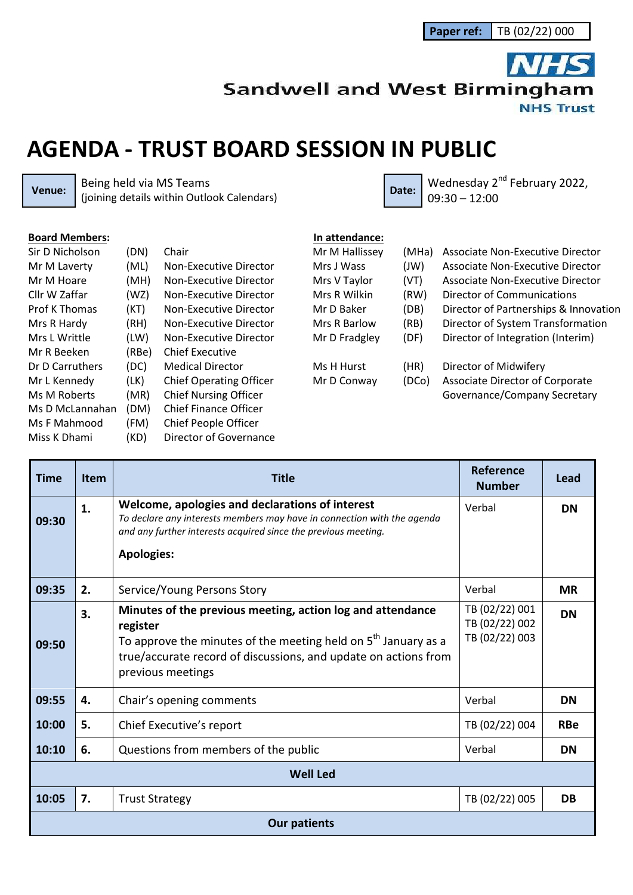**Sandwell and West Birmingham** 

**NHS Trust** 

## **AGENDA - TRUST BOARD SESSION IN PUBLIC**

**Venue:** Being held via MS Teams<br>(joining details within Outlook Calendars) Being held via MS Teams<br>(joining details within Outlook Calendars) **Date:** Date: 09:30 – 12:00

| <b>Board Members:</b> |       |                                |
|-----------------------|-------|--------------------------------|
| Sir D Nicholson       | (DN)  | Chair                          |
| Mr M Laverty          | (ML)  | Non-Executive Director         |
| Mr M Hoare            | (MH)  | Non-Executive Director         |
| Cllr W Zaffar         | (WZ)  | Non-Executive Director         |
| <b>Prof K Thomas</b>  | (KT)  | Non-Executive Director         |
| Mrs R Hardy           | (RH)  | Non-Executive Director         |
| Mrs L Writtle         | (LW)  | Non-Executive Director         |
| Mr R Beeken           | (RBe) | Chief Executive                |
| Dr D Carruthers       | (DC)  | Medical Director               |
| Mr L Kennedy          | (LK)  | <b>Chief Operating Officer</b> |
| Ms M Roberts          | (MR)  | <b>Chief Nursing Officer</b>   |
| Ms D McLannahan       | (DM)  | Chief Finance Officer          |
| Ms F Mahmood          | (FM)  | Chief People Officer           |
| Miss K Dhami          | (KD)  | Director of Governance         |
|                       |       |                                |

| In attendance: |       |                                        |
|----------------|-------|----------------------------------------|
| Mr M Hallissey | (MHa) | Associate Non-Executive Director       |
| Mrs J Wass     | (W)   | Associate Non-Executive Director       |
| Mrs V Taylor   | (VT)  | Associate Non-Executive Director       |
| Mrs R Wilkin   | (RW)  | Director of Communications             |
| Mr D Baker     | (DB)  | Director of Partnerships & Innovation  |
| Mrs R Barlow   | (RB)  | Director of System Transformation      |
| Mr D Fradgley  | (DF)  | Director of Integration (Interim)      |
| Ms H Hurst     | (HR)  | Director of Midwifery                  |
| Mr D Conway    | (DCo) | <b>Associate Director of Corporate</b> |
|                |       |                                        |
|                |       | Governance/Company Secretary           |

| <b>Time</b>         | <b>Item</b> | Title                                                                                                                                                                                                                              | Reference<br><b>Number</b>                         | Lead       |  |
|---------------------|-------------|------------------------------------------------------------------------------------------------------------------------------------------------------------------------------------------------------------------------------------|----------------------------------------------------|------------|--|
| 09:30               | 1.          | Welcome, apologies and declarations of interest<br>To declare any interests members may have in connection with the agenda<br>and any further interests acquired since the previous meeting.<br><b>Apologies:</b>                  | Verbal                                             | <b>DN</b>  |  |
| 09:35               | 2.          | Service/Young Persons Story                                                                                                                                                                                                        | Verbal                                             | <b>MR</b>  |  |
| 09:50               | 3.          | Minutes of the previous meeting, action log and attendance<br>register<br>To approve the minutes of the meeting held on $5th$ January as a<br>true/accurate record of discussions, and update on actions from<br>previous meetings | TB (02/22) 001<br>TB (02/22) 002<br>TB (02/22) 003 | <b>DN</b>  |  |
| 09:55               | 4.          | Chair's opening comments                                                                                                                                                                                                           | Verbal                                             | <b>DN</b>  |  |
| 10:00               | 5.          | Chief Executive's report                                                                                                                                                                                                           | TB (02/22) 004                                     | <b>RBe</b> |  |
| 10:10               | 6.          | Questions from members of the public                                                                                                                                                                                               | Verbal                                             | <b>DN</b>  |  |
| <b>Well Led</b>     |             |                                                                                                                                                                                                                                    |                                                    |            |  |
| 10:05               | 7.          | <b>Trust Strategy</b>                                                                                                                                                                                                              | TB (02/22) 005                                     | DB         |  |
| <b>Our patients</b> |             |                                                                                                                                                                                                                                    |                                                    |            |  |